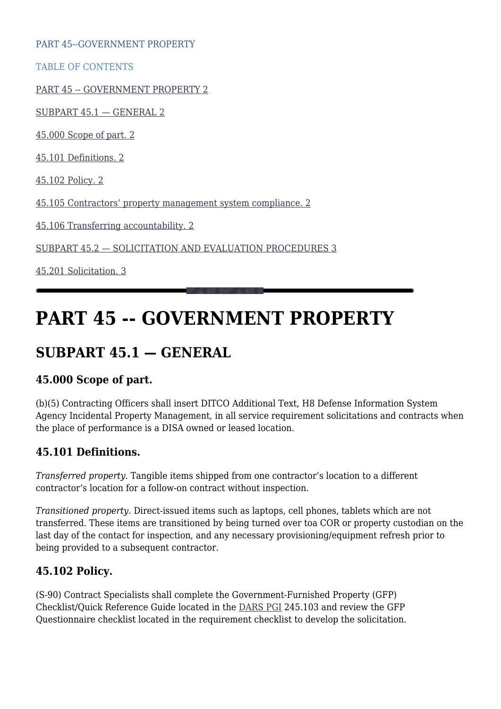PART 45--GOVERNMENT PROPERTY

TABLE OF CONTENTS

[PART 45 -- GOVERNMENT PROPERTY 2](#page--1-0)

[SUBPART 45.1 — GENERAL 2](#page--1-0)

[45.000 Scope of part. 2](#page--1-0)

[45.101 Definitions. 2](#page--1-0)

[45.102 Policy. 2](#page--1-0)

[45.105 Contractors' property management system compliance. 2](#page--1-0)

[45.106 Transferring accountability. 2](#page--1-0)

[SUBPART 45.2 — SOLICITATION AND EVALUATION PROCEDURES 3](#page--1-0)

[45.201 Solicitation. 3](#page--1-0)

# **PART 45 -- GOVERNMENT PROPERTY**

# **SUBPART 45.1 — GENERAL**

#### **45.000 Scope of part.**

(b)(5) Contracting Officers shall insert DITCO Additional Text, H8 Defense Information System Agency Incidental Property Management, in all service requirement solicitations and contracts when the place of performance is a DISA owned or leased location.

#### **45.101 Definitions.**

*Transferred property.* Tangible items shipped from one contractor's location to a different contractor's location for a follow-on contract without inspection.

*Transitioned property.* Direct-issued items such as laptops, cell phones, tablets which are not transferred. These items are transitioned by being turned over toa COR or property custodian on the last day of the contact for inspection, and any necessary provisioning/equipment refresh prior to being provided to a subsequent contractor.

#### **45.102 Policy.**

(S-90) Contract Specialists shall complete the Government-Furnished Property (GFP) Checklist/Quick Reference Guide located in the [DARS PGI](https://disa.deps.mil/org/PL2/Pages/DITCORefs.aspx?RootFolder=/org/PL2/Other/PROCEDURES%20GUIDES%20AND%20INSTRUCTIONS%20(PGI)&FolderCTID=0x012000175D246D4A108E42B091C3F17BE4BDFE&View=%7B998EB6D7-DD02-4224-9626-13F9934F7F4C%7D) 245.103 and review the GFP Questionnaire checklist located in the requirement checklist to develop the solicitation.